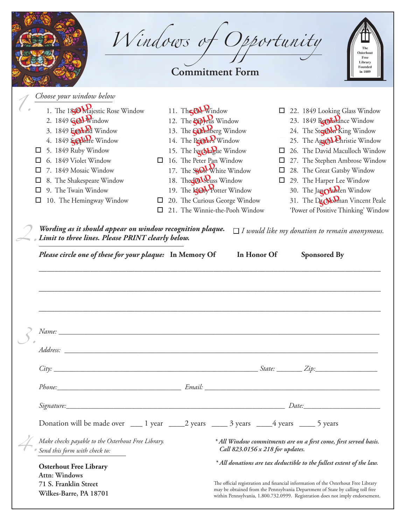|                                                                                                                                                                                                                                                                                                                                                                                                                                | Windows of Opportunity<br><b>Commitment Form</b>                                                                                                                                                                                                                                                                                                                 |                                  | Osterhout<br>Free<br>Library<br>Founded<br>in 1889                                                                                                                                                                                                                                                                                                                                                                                                                             |
|--------------------------------------------------------------------------------------------------------------------------------------------------------------------------------------------------------------------------------------------------------------------------------------------------------------------------------------------------------------------------------------------------------------------------------|------------------------------------------------------------------------------------------------------------------------------------------------------------------------------------------------------------------------------------------------------------------------------------------------------------------------------------------------------------------|----------------------------------|--------------------------------------------------------------------------------------------------------------------------------------------------------------------------------------------------------------------------------------------------------------------------------------------------------------------------------------------------------------------------------------------------------------------------------------------------------------------------------|
| Choose your window below<br>1. The 180 Wajestic Rose Window<br>2. 1849 GOL Window<br>3. 1849 Embald Window<br>4. 1849 Scothre Window<br>5. 1849 Ruby Window<br>$\Box$<br>6. 1849 Violet Window<br>7. 1849 Mosaic Window<br>8. The Shakespeare Window<br>9. The Twain Window<br>□<br>10. The Hemingway Window<br>Wording as it should appear on window recognition plaque.<br>Limit to three lines. Please PRINT clearly below. | 11. The OL Window<br>12. The <b>Co</b> yrus Window<br>13. The <b>Sudenberg</b> Window<br>14. The Printers Window<br>15. The Iwash ague Window<br>$\Box$ 16. The Peter Pan Window<br>17. The Sylow White Window<br>18. The COLSeuss Window<br>19. The <b>Koly</b> Potter Window<br>20. The Curious George Window<br>$\Box$<br>21. The Winnie-the-Pooh Window<br>□ |                                  | 22. 1849 Looking Glass Window<br>$\Box$<br>23. 1849 Remissance Window<br>24. The SterDen King Window<br>25. The Agata Christie Window<br>26. The David Maculloch Window<br>$\Box$<br>27. The Stephen Ambrose Window<br>$\Box$<br>28. The Great Gatsby Window<br>$\Box$<br>29. The Harper Lee Window<br>$\Box$<br>30. The Jan Olusten Window<br>31. The Dr. Norman Vincent Peale<br>'Power of Positive Thinking' Window<br>$\Box$ I would like my donation to remain anonymous. |
| Please circle one of these for your plaque: In Memory Of                                                                                                                                                                                                                                                                                                                                                                       |                                                                                                                                                                                                                                                                                                                                                                  | In Honor Of                      | <b>Sponsored By</b>                                                                                                                                                                                                                                                                                                                                                                                                                                                            |
| $City:$ $\_$ $\hspace{-.05in}Zip:$ $\_$ $\hspace{-.05in}Zip:$                                                                                                                                                                                                                                                                                                                                                                  |                                                                                                                                                                                                                                                                                                                                                                  |                                  |                                                                                                                                                                                                                                                                                                                                                                                                                                                                                |
|                                                                                                                                                                                                                                                                                                                                                                                                                                |                                                                                                                                                                                                                                                                                                                                                                  |                                  |                                                                                                                                                                                                                                                                                                                                                                                                                                                                                |
|                                                                                                                                                                                                                                                                                                                                                                                                                                |                                                                                                                                                                                                                                                                                                                                                                  |                                  |                                                                                                                                                                                                                                                                                                                                                                                                                                                                                |
| Donation will be made over _____ 1 year ______2 years _______ 3 years ______4 years ______ 5 years                                                                                                                                                                                                                                                                                                                             |                                                                                                                                                                                                                                                                                                                                                                  |                                  |                                                                                                                                                                                                                                                                                                                                                                                                                                                                                |
| Make checks payable to the Osterhout Free Library.                                                                                                                                                                                                                                                                                                                                                                             |                                                                                                                                                                                                                                                                                                                                                                  | Call 823.0156 x 218 for updates. | * All Window commitments are on a first come, first served basis.                                                                                                                                                                                                                                                                                                                                                                                                              |
| Send this form with check to:<br><b>Osterhout Free Library</b>                                                                                                                                                                                                                                                                                                                                                                 |                                                                                                                                                                                                                                                                                                                                                                  |                                  | * All donations are tax deductible to the fullest extent of the law.                                                                                                                                                                                                                                                                                                                                                                                                           |